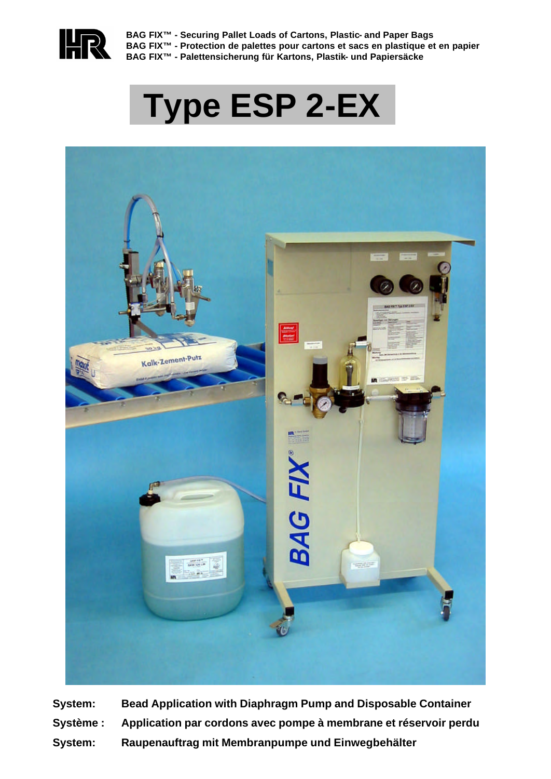

**BAG FIX™ - Securing Pallet Loads of Cartons, Plastic- and Paper Bags BAG FIX™ - Protection de palettes pour cartons et sacs en plastique et en papier BAG FIX™ - Palettensicherung für Kartons, Plastik- und Papiersäcke**

# **Type ESP 2-EX**



**System: Bead Application with Diaphragm Pump and Disposable Container Système : Application par cordons avec pompe à membrane et réservoir perdu System: Raupenauftrag mit Membranpumpe und Einwegbehälter**